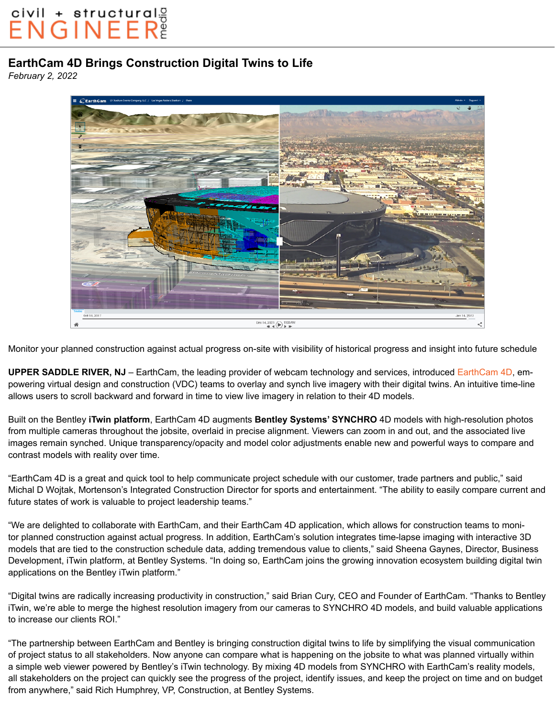## civil + structurals<br>ENGINEER

## **EarthCam 4D Brings Construction Digital Twins to Life**

*February 2, 2022*



Monitor your planned construction against actual progress on-site with visibility of historical progress and insight into future schedule

**UPPER SADDLE RIVER, NJ** – EarthCam, the leading provider of webcam technology and services, introduced [EarthCam 4D](https://earthcam.net/earthcam4d/), empowering virtual design and construction (VDC) teams to overlay and synch live imagery with their digital twins. An intuitive time-line allows users to scroll backward and forward in time to view live imagery in relation to their 4D models.

Built on the Bentley **iTwin platform**, EarthCam 4D augments **Bentley Systems' SYNCHRO** 4D models with high-resolution photos from multiple cameras throughout the jobsite, overlaid in precise alignment. Viewers can zoom in and out, and the associated live images remain synched. Unique transparency/opacity and model color adjustments enable new and powerful ways to compare and contrast models with reality over time.

"EarthCam 4D is a great and quick tool to help communicate project schedule with our customer, trade partners and public," said Michal D Wojtak, Mortenson's Integrated Construction Director for sports and entertainment. "The ability to easily compare current and future states of work is valuable to project leadership teams."

"We are delighted to collaborate with EarthCam, and their EarthCam 4D application, which allows for construction teams to monitor planned construction against actual progress. In addition, EarthCam's solution integrates time-lapse imaging with interactive 3D models that are tied to the construction schedule data, adding tremendous value to clients," said Sheena Gaynes, Director, Business Development, iTwin platform, at Bentley Systems. "In doing so, EarthCam joins the growing innovation ecosystem building digital twin applications on the Bentley iTwin platform."

"Digital twins are radically increasing productivity in construction," said Brian Cury, CEO and Founder of EarthCam. "Thanks to Bentley iTwin, we're able to merge the highest resolution imagery from our cameras to SYNCHRO 4D models, and build valuable applications to increase our clients ROI."

"The partnership between EarthCam and Bentley is bringing construction digital twins to life by simplifying the visual communication of project status to all stakeholders. Now anyone can compare what is happening on the jobsite to what was planned virtually within a simple web viewer powered by Bentley's iTwin technology. By mixing 4D models from SYNCHRO with EarthCam's reality models, all stakeholders on the project can quickly see the progress of the project, identify issues, and keep the project on time and on budget from anywhere," said Rich Humphrey, VP, Construction, at Bentley Systems.